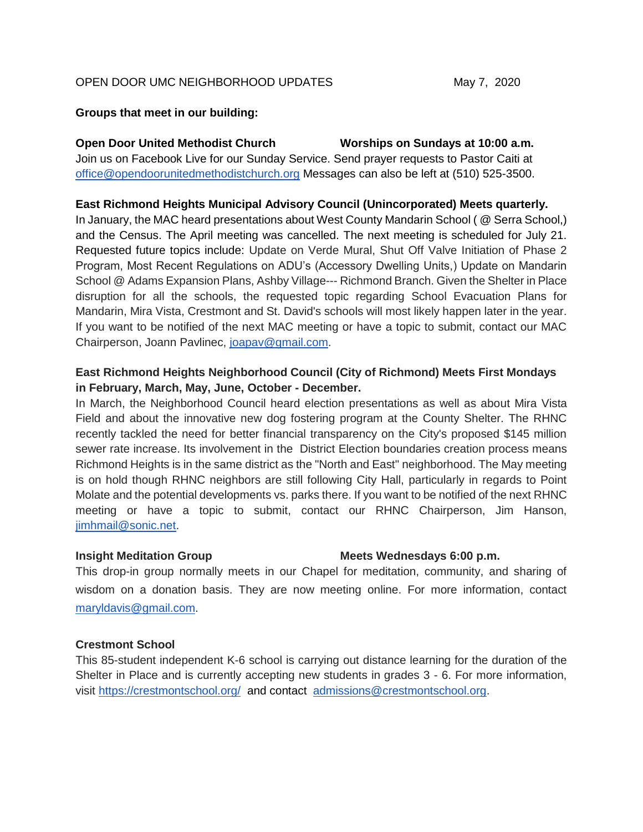### OPEN DOOR UMC NEIGHBORHOOD UPDATES May 7, 2020

### **Groups that meet in our building:**

**Open Door United Methodist Church Worships on Sundays at 10:00 a.m.** Join us on Facebook Live for our Sunday Service. Send prayer requests to Pastor Caiti at [office@opendoorunitedmethodistchurch.org](mailto:office@opendoorunitedmethodistchurch.org) Messages can also be left at (510) 525-3500.

### **East Richmond Heights Municipal Advisory Council (Unincorporated) Meets quarterly.**

In January, the MAC heard presentations about West County Mandarin School ( @ Serra School,) and the Census. The April meeting was cancelled. The next meeting is scheduled for July 21. Requested future topics include: Update on Verde Mural, Shut Off Valve Initiation of Phase 2 Program, Most Recent Regulations on ADU's (Accessory Dwelling Units,) Update on Mandarin School @ Adams Expansion Plans, Ashby Village--- Richmond Branch. Given the Shelter in Place disruption for all the schools, the requested topic regarding School Evacuation Plans for Mandarin, Mira Vista, Crestmont and St. David's schools will most likely happen later in the year. If you want to be notified of the next MAC meeting or have a topic to submit, contact our MAC Chairperson, Joann Pavlinec, [joapav@gmail.com.](mailto:joapav@gmail.com)

# **East Richmond Heights Neighborhood Council (City of Richmond) Meets First Mondays in February, March, May, June, October - December.**

In March, the Neighborhood Council heard election presentations as well as about Mira Vista Field and about the innovative new dog fostering program at the County Shelter. The RHNC recently tackled the need for better financial transparency on the City's proposed \$145 million sewer rate increase. Its involvement in the District Election boundaries creation process means Richmond Heights is in the same district as the "North and East" neighborhood. The May meeting is on hold though RHNC neighbors are still following City Hall, particularly in regards to Point Molate and the potential developments vs. parks there. If you want to be notified of the next RHNC meeting or have a topic to submit, contact our RHNC Chairperson, Jim Hanson, [jimhmail@sonic.net.](mailto:jimhmail@sonic.net)

### **Insight Meditation Group Meets Wednesdays 6:00 p.m.**

This drop-in group normally meets in our Chapel for meditation, community, and sharing of wisdom on a donation basis. They are now meeting online. For more information, contact [maryldavis@gmail.com.](mailto:maryldavis@gmail.com)

# **Crestmont School**

This 85-student independent K-6 school is carrying out distance learning for the duration of the Shelter in Place and is currently accepting new students in grades 3 - 6. For more information, visit<https://crestmontschool.org/>and contact [admissions@crestmontschool.org.](mailto:admissions@crestmontschool.org)